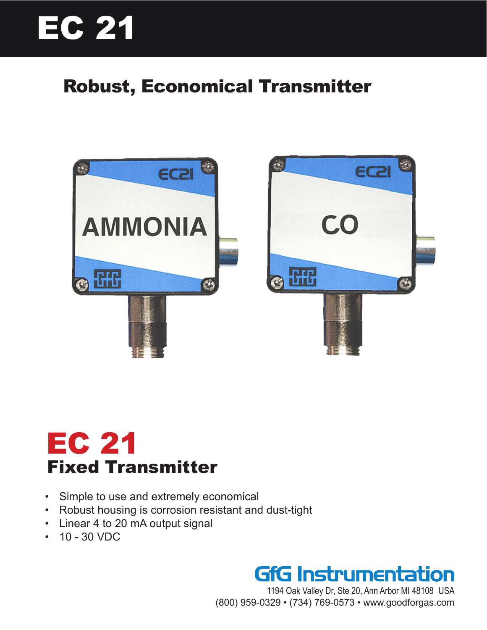# EC 21

### Robust, Economical Transmitter



# EC 21 Fixed Transmitter

- Simple to use and extremely economical
- Robust housing is corrosion resistant and dust-tight
- Linear 4 to 20 mA output signal
- 10 30 VDC



1194 Oak Valley Dr, Ste 20, Ann Arbor MI 48108 USA (800) 959-0329 • (734) 769-0573 • www.goodforgas.com